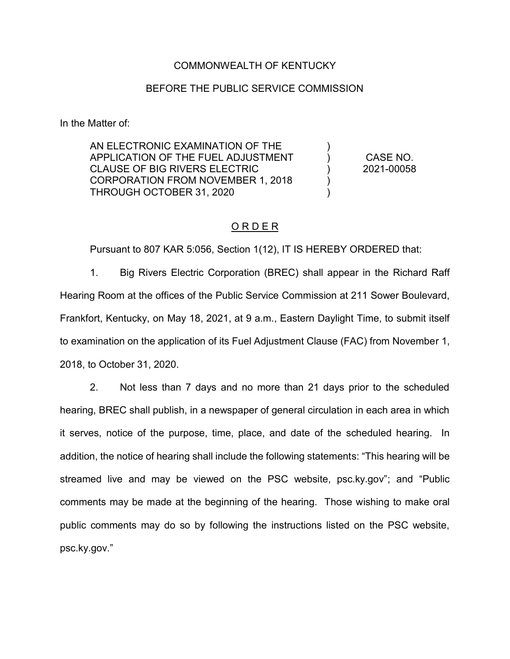### COMMONWEALTH OF KENTUCKY

### BEFORE THE PUBLIC SERVICE COMMISSION

In the Matter of:

AN ELECTRONIC EXAMINATION OF THE APPLICATION OF THE FUEL ADJUSTMENT CLAUSE OF BIG RIVERS ELECTRIC CORPORATION FROM NOVEMBER 1, 2018 THROUGH OCTOBER 31, 2020  $\lambda$ ) ) ) ) CASE NO. 2021-00058

### O R D E R

Pursuant to 807 KAR 5:056, Section 1(12), IT IS HEREBY ORDERED that:

1. Big Rivers Electric Corporation (BREC) shall appear in the Richard Raff Hearing Room at the offices of the Public Service Commission at 211 Sower Boulevard, Frankfort, Kentucky, on May 18, 2021, at 9 a.m., Eastern Daylight Time, to submit itself to examination on the application of its Fuel Adjustment Clause (FAC) from November 1, 2018, to October 31, 2020.

2. Not less than 7 days and no more than 21 days prior to the scheduled hearing, BREC shall publish, in a newspaper of general circulation in each area in which it serves, notice of the purpose, time, place, and date of the scheduled hearing. In addition, the notice of hearing shall include the following statements: "This hearing will be streamed live and may be viewed on the PSC website, psc.ky.gov"; and "Public comments may be made at the beginning of the hearing. Those wishing to make oral public comments may do so by following the instructions listed on the PSC website, psc.ky.gov."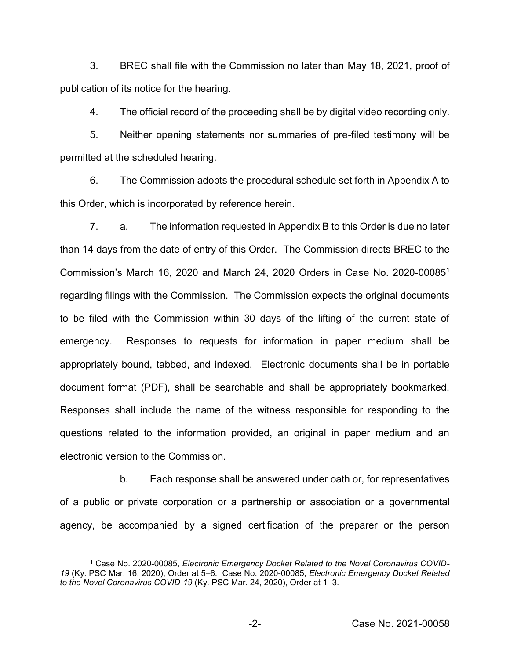3. BREC shall file with the Commission no later than May 18, 2021, proof of publication of its notice for the hearing.

4. The official record of the proceeding shall be by digital video recording only.

5. Neither opening statements nor summaries of pre-filed testimony will be permitted at the scheduled hearing.

6. The Commission adopts the procedural schedule set forth in Appendix A to this Order, which is incorporated by reference herein.

7. a. The information requested in Appendix B to this Order is due no later than 14 days from the date of entry of this Order. The Commission directs BREC to the Commission's March 16, 2020 and March 24, 2020 Orders in Case No. 2020-000851 regarding filings with the Commission. The Commission expects the original documents to be filed with the Commission within 30 days of the lifting of the current state of emergency. Responses to requests for information in paper medium shall be appropriately bound, tabbed, and indexed. Electronic documents shall be in portable document format (PDF), shall be searchable and shall be appropriately bookmarked. Responses shall include the name of the witness responsible for responding to the questions related to the information provided, an original in paper medium and an electronic version to the Commission.

b. Each response shall be answered under oath or, for representatives of a public or private corporation or a partnership or association or a governmental agency, be accompanied by a signed certification of the preparer or the person

 <sup>1</sup> Case No. 2020-00085, *Electronic Emergency Docket Related to the Novel Coronavirus COVID-19* (Ky. PSC Mar. 16, 2020), Order at 5–6. Case No. 2020-00085, *Electronic Emergency Docket Related to the Novel Coronavirus COVID-19* (Ky. PSC Mar. 24, 2020), Order at 1–3.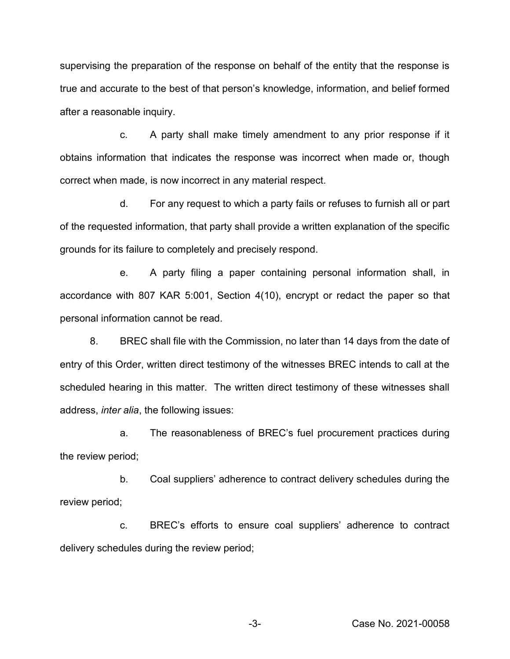supervising the preparation of the response on behalf of the entity that the response is true and accurate to the best of that person's knowledge, information, and belief formed after a reasonable inquiry.

c. A party shall make timely amendment to any prior response if it obtains information that indicates the response was incorrect when made or, though correct when made, is now incorrect in any material respect.

d. For any request to which a party fails or refuses to furnish all or part of the requested information, that party shall provide a written explanation of the specific grounds for its failure to completely and precisely respond.

e. A party filing a paper containing personal information shall, in accordance with 807 KAR 5:001, Section 4(10), encrypt or redact the paper so that personal information cannot be read.

8. BREC shall file with the Commission, no later than 14 days from the date of entry of this Order, written direct testimony of the witnesses BREC intends to call at the scheduled hearing in this matter. The written direct testimony of these witnesses shall address, *inter alia*, the following issues:

a. The reasonableness of BREC's fuel procurement practices during the review period;

b. Coal suppliers' adherence to contract delivery schedules during the review period;

c. BREC's efforts to ensure coal suppliers' adherence to contract delivery schedules during the review period;

-3- Case No. 2021-00058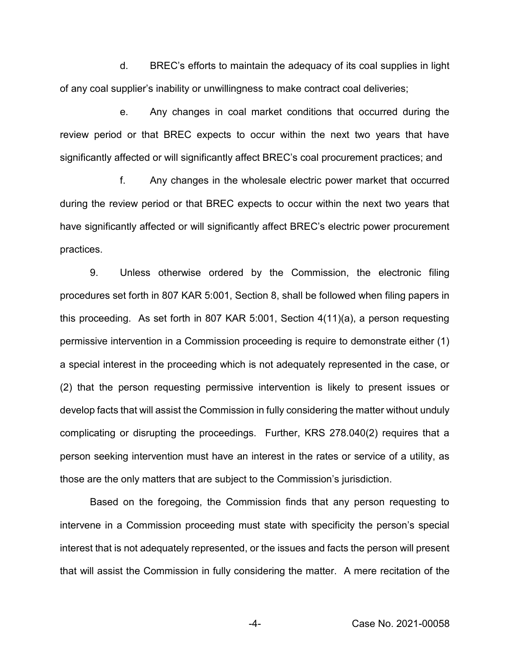d. BREC's efforts to maintain the adequacy of its coal supplies in light of any coal supplier's inability or unwillingness to make contract coal deliveries;

e. Any changes in coal market conditions that occurred during the review period or that BREC expects to occur within the next two years that have significantly affected or will significantly affect BREC's coal procurement practices; and

f. Any changes in the wholesale electric power market that occurred during the review period or that BREC expects to occur within the next two years that have significantly affected or will significantly affect BREC's electric power procurement practices.

9. Unless otherwise ordered by the Commission, the electronic filing procedures set forth in 807 KAR 5:001, Section 8, shall be followed when filing papers in this proceeding. As set forth in 807 KAR 5:001, Section 4(11)(a), a person requesting permissive intervention in a Commission proceeding is require to demonstrate either (1) a special interest in the proceeding which is not adequately represented in the case, or (2) that the person requesting permissive intervention is likely to present issues or develop facts that will assist the Commission in fully considering the matter without unduly complicating or disrupting the proceedings. Further, KRS 278.040(2) requires that a person seeking intervention must have an interest in the rates or service of a utility, as those are the only matters that are subject to the Commission's jurisdiction.

Based on the foregoing, the Commission finds that any person requesting to intervene in a Commission proceeding must state with specificity the person's special interest that is not adequately represented, or the issues and facts the person will present that will assist the Commission in fully considering the matter. A mere recitation of the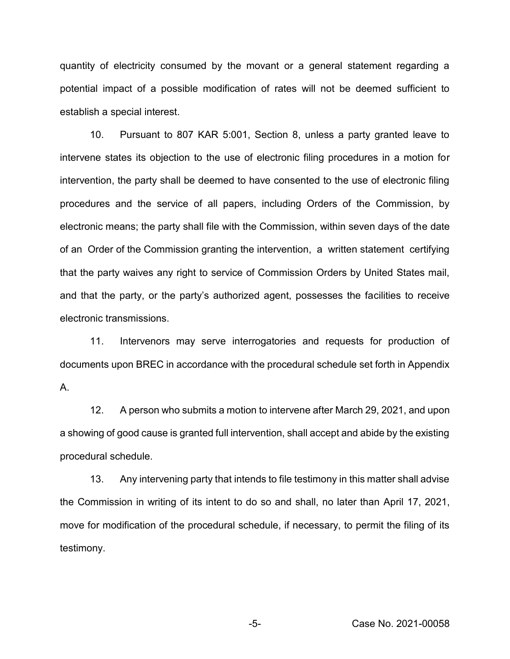quantity of electricity consumed by the movant or a general statement regarding a potential impact of a possible modification of rates will not be deemed sufficient to establish a special interest.

10. Pursuant to 807 KAR 5:001, Section 8, unless a party granted leave to intervene states its objection to the use of electronic filing procedures in a motion for intervention, the party shall be deemed to have consented to the use of electronic filing procedures and the service of all papers, including Orders of the Commission, by electronic means; the party shall file with the Commission, within seven days of the date of an Order of the Commission granting the intervention, a written statement certifying that the party waives any right to service of Commission Orders by United States mail, and that the party, or the party's authorized agent, possesses the facilities to receive electronic transmissions.

11. Intervenors may serve interrogatories and requests for production of documents upon BREC in accordance with the procedural schedule set forth in Appendix A.

12. A person who submits a motion to intervene after March 29, 2021, and upon a showing of good cause is granted full intervention, shall accept and abide by the existing procedural schedule.

13. Any intervening party that intends to file testimony in this matter shall advise the Commission in writing of its intent to do so and shall, no later than April 17, 2021, move for modification of the procedural schedule, if necessary, to permit the filing of its testimony.

-5- Case No. 2021-00058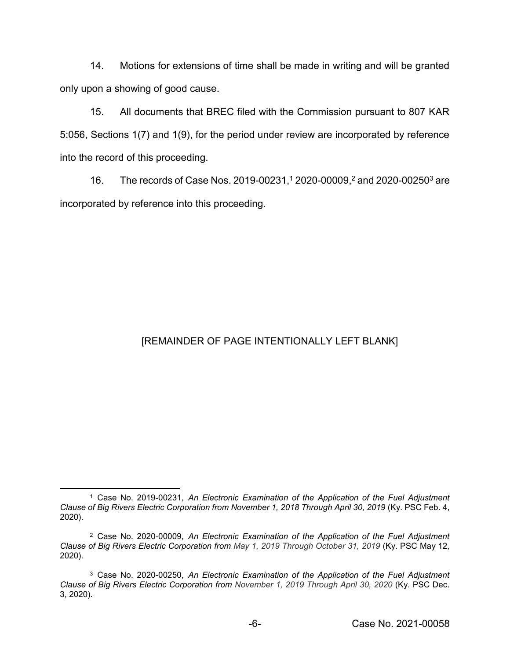14. Motions for extensions of time shall be made in writing and will be granted only upon a showing of good cause.

15. All documents that BREC filed with the Commission pursuant to 807 KAR 5:056, Sections 1(7) and 1(9), for the period under review are incorporated by reference into the record of this proceeding.

16. The records of Case Nos. 2019-00231,<sup>1</sup> 2020-00009,<sup>2</sup> and 2020-00250<sup>3</sup> are incorporated by reference into this proceeding.

## [REMAINDER OF PAGE INTENTIONALLY LEFT BLANK]

 <sup>1</sup> Case No. 2019-00231, *An Electronic Examination of the Application of the Fuel Adjustment Clause of Big Rivers Electric Corporation from November 1, 2018 Through April 30, 2019* (Ky. PSC Feb. 4, 2020).

<sup>2</sup> Case No. 2020-00009, *An Electronic Examination of the Application of the Fuel Adjustment Clause of Big Rivers Electric Corporation from May 1, 2019 Through October 31, 2019* (Ky. PSC May 12, 2020).

<sup>3</sup> Case No. 2020-00250, *An Electronic Examination of the Application of the Fuel Adjustment Clause of Big Rivers Electric Corporation from November 1, 2019 Through April 30, 2020* (Ky. PSC Dec. 3, 2020).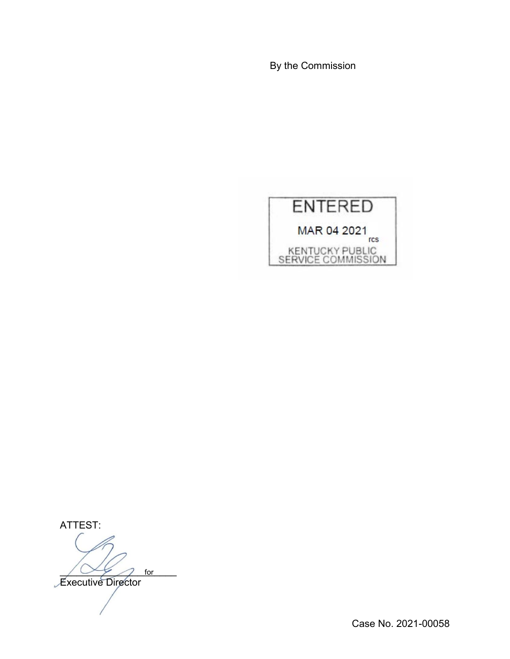By the Commission



ATTEST:

 $\bigwedge \bigvee$   $\searrow$  for

**Executive Director** 

Case No. 2021-00058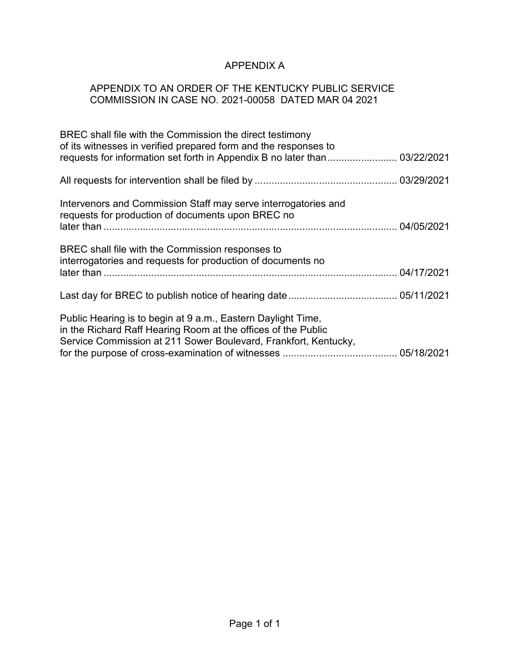# APPENDIX A

## APPENDIX TO AN ORDER OF THE KENTUCKY PUBLIC SERVICE COMMISSION IN CASE NO. 2021-00058 DATED MAR 04 2021

| BREC shall file with the Commission the direct testimony<br>of its witnesses in verified prepared form and the responses to<br>requests for information set forth in Appendix B no later than 03/22/2021 |  |
|----------------------------------------------------------------------------------------------------------------------------------------------------------------------------------------------------------|--|
|                                                                                                                                                                                                          |  |
| Intervenors and Commission Staff may serve interrogatories and<br>requests for production of documents upon BREC no                                                                                      |  |
| BREC shall file with the Commission responses to<br>interrogatories and requests for production of documents no                                                                                          |  |
|                                                                                                                                                                                                          |  |
| Public Hearing is to begin at 9 a.m., Eastern Daylight Time,<br>in the Richard Raff Hearing Room at the offices of the Public<br>Service Commission at 211 Sower Boulevard, Frankfort, Kentucky,         |  |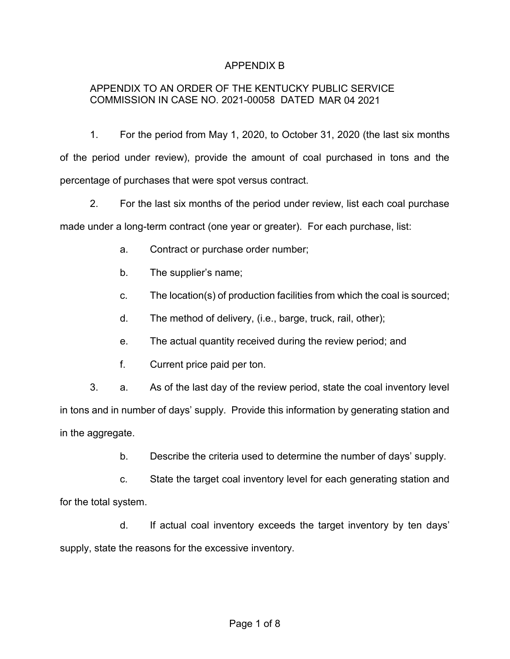## APPENDIX B

## APPENDIX TO AN ORDER OF THE KENTUCKY PUBLIC SERVICE COMMISSION IN CASE NO. 2021-00058 DATED MAR 04 2021

1. For the period from May 1, 2020, to October 31, 2020 (the last six months of the period under review), provide the amount of coal purchased in tons and the percentage of purchases that were spot versus contract.

2. For the last six months of the period under review, list each coal purchase made under a long-term contract (one year or greater). For each purchase, list:

- a. Contract or purchase order number;
- b. The supplier's name;
- c. The location(s) of production facilities from which the coal is sourced;
- d. The method of delivery, (i.e., barge, truck, rail, other);
- e. The actual quantity received during the review period; and
- f. Current price paid per ton.

3. a. As of the last day of the review period, state the coal inventory level in tons and in number of days' supply. Provide this information by generating station and in the aggregate.

b. Describe the criteria used to determine the number of days' supply.

c. State the target coal inventory level for each generating station and for the total system.

d. If actual coal inventory exceeds the target inventory by ten days' supply, state the reasons for the excessive inventory.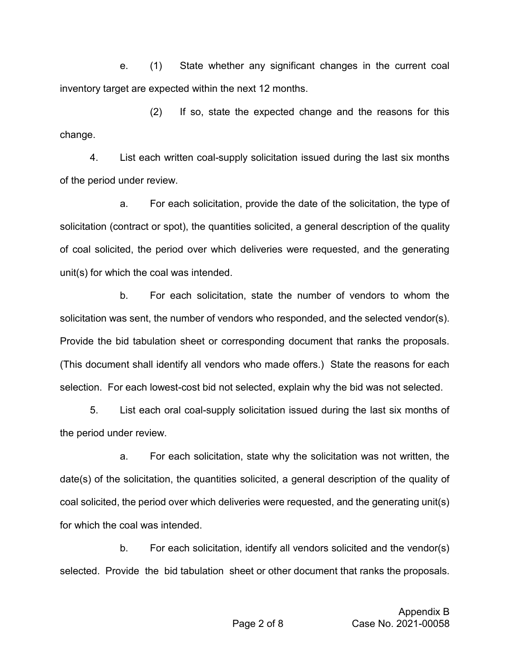e. (1) State whether any significant changes in the current coal inventory target are expected within the next 12 months.

(2) If so, state the expected change and the reasons for this change.

4. List each written coal-supply solicitation issued during the last six months of the period under review.

a. For each solicitation, provide the date of the solicitation, the type of solicitation (contract or spot), the quantities solicited, a general description of the quality of coal solicited, the period over which deliveries were requested, and the generating unit(s) for which the coal was intended.

b. For each solicitation, state the number of vendors to whom the solicitation was sent, the number of vendors who responded, and the selected vendor(s). Provide the bid tabulation sheet or corresponding document that ranks the proposals. (This document shall identify all vendors who made offers.) State the reasons for each selection. For each lowest-cost bid not selected, explain why the bid was not selected.

5. List each oral coal-supply solicitation issued during the last six months of the period under review.

a. For each solicitation, state why the solicitation was not written, the date(s) of the solicitation, the quantities solicited, a general description of the quality of coal solicited, the period over which deliveries were requested, and the generating unit(s) for which the coal was intended.

b. For each solicitation, identify all vendors solicited and the vendor(s) selected. Provide the bid tabulation sheet or other document that ranks the proposals.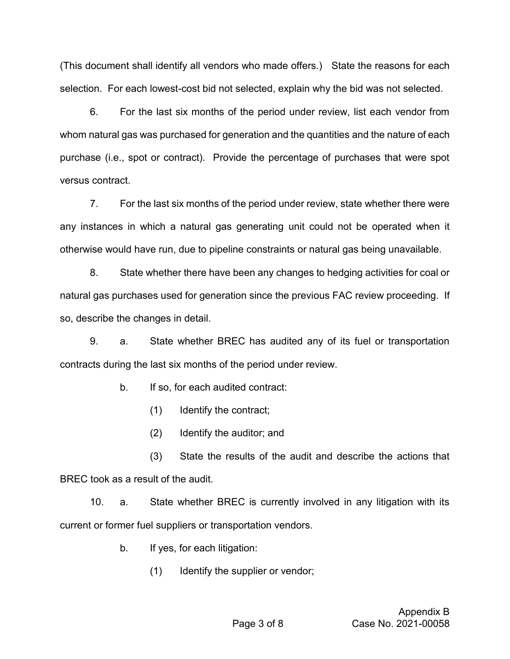(This document shall identify all vendors who made offers.) State the reasons for each selection. For each lowest-cost bid not selected, explain why the bid was not selected.

6. For the last six months of the period under review, list each vendor from whom natural gas was purchased for generation and the quantities and the nature of each purchase (i.e., spot or contract). Provide the percentage of purchases that were spot versus contract.

7. For the last six months of the period under review, state whether there were any instances in which a natural gas generating unit could not be operated when it otherwise would have run, due to pipeline constraints or natural gas being unavailable.

8. State whether there have been any changes to hedging activities for coal or natural gas purchases used for generation since the previous FAC review proceeding. If so, describe the changes in detail.

9. a. State whether BREC has audited any of its fuel or transportation contracts during the last six months of the period under review.

b. If so, for each audited contract:

- (1) Identify the contract;
- (2) Identify the auditor; and

(3) State the results of the audit and describe the actions that BREC took as a result of the audit.

10. a. State whether BREC is currently involved in any litigation with its current or former fuel suppliers or transportation vendors.

- b. If yes, for each litigation:
	- (1) Identify the supplier or vendor;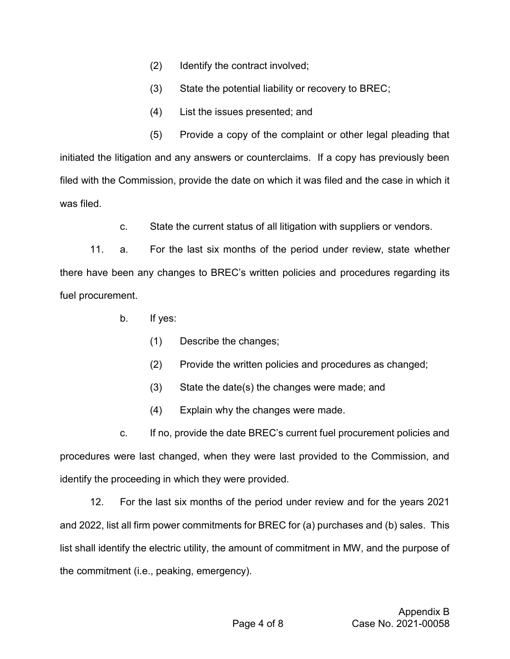- (2) Identify the contract involved;
- (3) State the potential liability or recovery to BREC;
- (4) List the issues presented; and

(5) Provide a copy of the complaint or other legal pleading that initiated the litigation and any answers or counterclaims. If a copy has previously been filed with the Commission, provide the date on which it was filed and the case in which it was filed.

c. State the current status of all litigation with suppliers or vendors.

11. a. For the last six months of the period under review, state whether there have been any changes to BREC's written policies and procedures regarding its fuel procurement.

- b. If yes:
	- (1) Describe the changes;
	- (2) Provide the written policies and procedures as changed;
	- (3) State the date(s) the changes were made; and
	- (4) Explain why the changes were made.

c. If no, provide the date BREC's current fuel procurement policies and procedures were last changed, when they were last provided to the Commission, and identify the proceeding in which they were provided.

12. For the last six months of the period under review and for the years 2021 and 2022, list all firm power commitments for BREC for (a) purchases and (b) sales. This list shall identify the electric utility, the amount of commitment in MW, and the purpose of the commitment (i.e., peaking, emergency).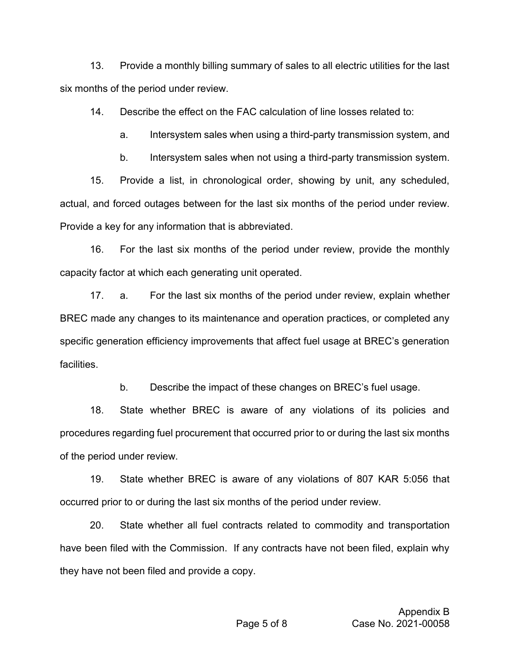13. Provide a monthly billing summary of sales to all electric utilities for the last six months of the period under review.

14. Describe the effect on the FAC calculation of line losses related to:

a. Intersystem sales when using a third-party transmission system, and

b. Intersystem sales when not using a third-party transmission system.

15. Provide a list, in chronological order, showing by unit, any scheduled, actual, and forced outages between for the last six months of the period under review. Provide a key for any information that is abbreviated.

16. For the last six months of the period under review, provide the monthly capacity factor at which each generating unit operated.

17. a. For the last six months of the period under review, explain whether BREC made any changes to its maintenance and operation practices, or completed any specific generation efficiency improvements that affect fuel usage at BREC's generation **facilities** 

b. Describe the impact of these changes on BREC's fuel usage.

18. State whether BREC is aware of any violations of its policies and procedures regarding fuel procurement that occurred prior to or during the last six months of the period under review.

19. State whether BREC is aware of any violations of 807 KAR 5:056 that occurred prior to or during the last six months of the period under review.

20. State whether all fuel contracts related to commodity and transportation have been filed with the Commission. If any contracts have not been filed, explain why they have not been filed and provide a copy.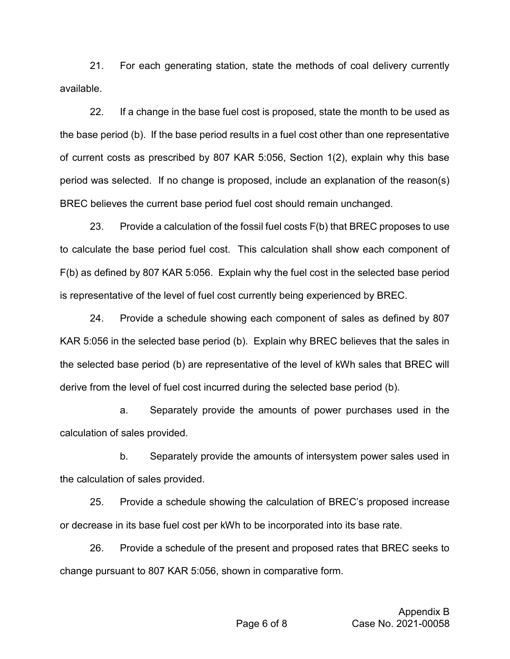21. For each generating station, state the methods of coal delivery currently available.

22. If a change in the base fuel cost is proposed, state the month to be used as the base period (b). If the base period results in a fuel cost other than one representative of current costs as prescribed by 807 KAR 5:056, Section 1(2), explain why this base period was selected. If no change is proposed, include an explanation of the reason(s) BREC believes the current base period fuel cost should remain unchanged.

23. Provide a calculation of the fossil fuel costs F(b) that BREC proposes to use to calculate the base period fuel cost. This calculation shall show each component of F(b) as defined by 807 KAR 5:056. Explain why the fuel cost in the selected base period is representative of the level of fuel cost currently being experienced by BREC.

24. Provide a schedule showing each component of sales as defined by 807 KAR 5:056 in the selected base period (b). Explain why BREC believes that the sales in the selected base period (b) are representative of the level of kWh sales that BREC will derive from the level of fuel cost incurred during the selected base period (b).

a. Separately provide the amounts of power purchases used in the calculation of sales provided.

b. Separately provide the amounts of intersystem power sales used in the calculation of sales provided.

25. Provide a schedule showing the calculation of BREC's proposed increase or decrease in its base fuel cost per kWh to be incorporated into its base rate.

26. Provide a schedule of the present and proposed rates that BREC seeks to change pursuant to 807 KAR 5:056, shown in comparative form.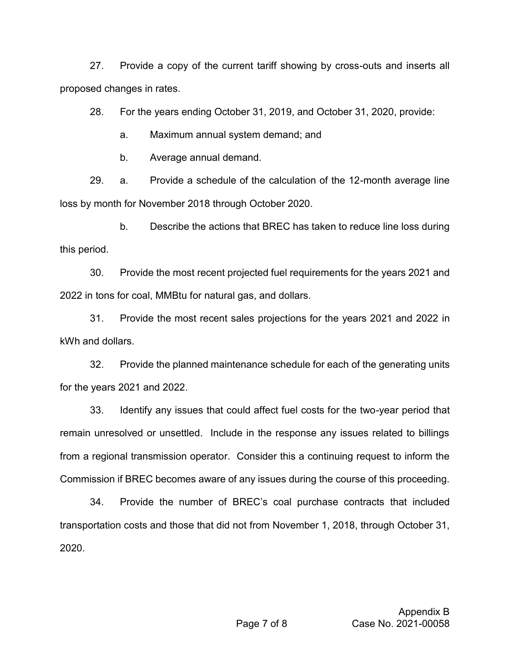27. Provide a copy of the current tariff showing by cross-outs and inserts all proposed changes in rates.

28. For the years ending October 31, 2019, and October 31, 2020, provide:

a. Maximum annual system demand; and

b. Average annual demand.

29. a. Provide a schedule of the calculation of the 12-month average line loss by month for November 2018 through October 2020.

b. Describe the actions that BREC has taken to reduce line loss during this period.

30. Provide the most recent projected fuel requirements for the years 2021 and 2022 in tons for coal, MMBtu for natural gas, and dollars.

31. Provide the most recent sales projections for the years 2021 and 2022 in kWh and dollars.

32. Provide the planned maintenance schedule for each of the generating units for the years 2021 and 2022.

33. Identify any issues that could affect fuel costs for the two-year period that remain unresolved or unsettled. Include in the response any issues related to billings from a regional transmission operator. Consider this a continuing request to inform the Commission if BREC becomes aware of any issues during the course of this proceeding.

34. Provide the number of BREC's coal purchase contracts that included transportation costs and those that did not from November 1, 2018, through October 31, 2020.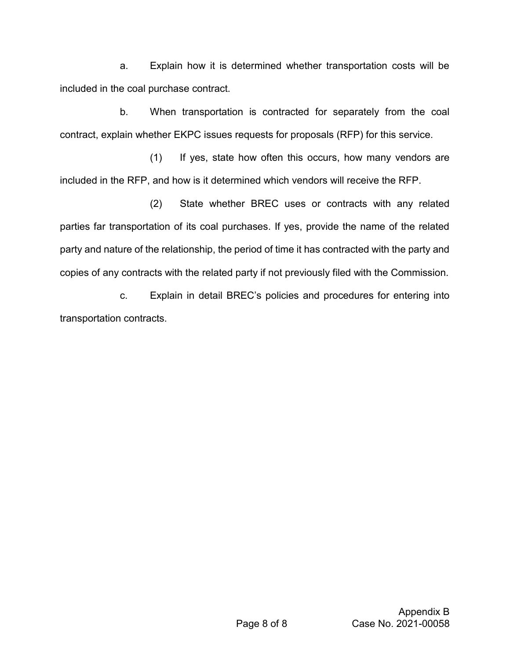a. Explain how it is determined whether transportation costs will be included in the coal purchase contract.

b. When transportation is contracted for separately from the coal contract, explain whether EKPC issues requests for proposals (RFP) for this service.

(1) If yes, state how often this occurs, how many vendors are included in the RFP, and how is it determined which vendors will receive the RFP.

(2) State whether BREC uses or contracts with any related parties far transportation of its coal purchases. If yes, provide the name of the related party and nature of the relationship, the period of time it has contracted with the party and copies of any contracts with the related party if not previously filed with the Commission.

c. Explain in detail BREC's policies and procedures for entering into transportation contracts.